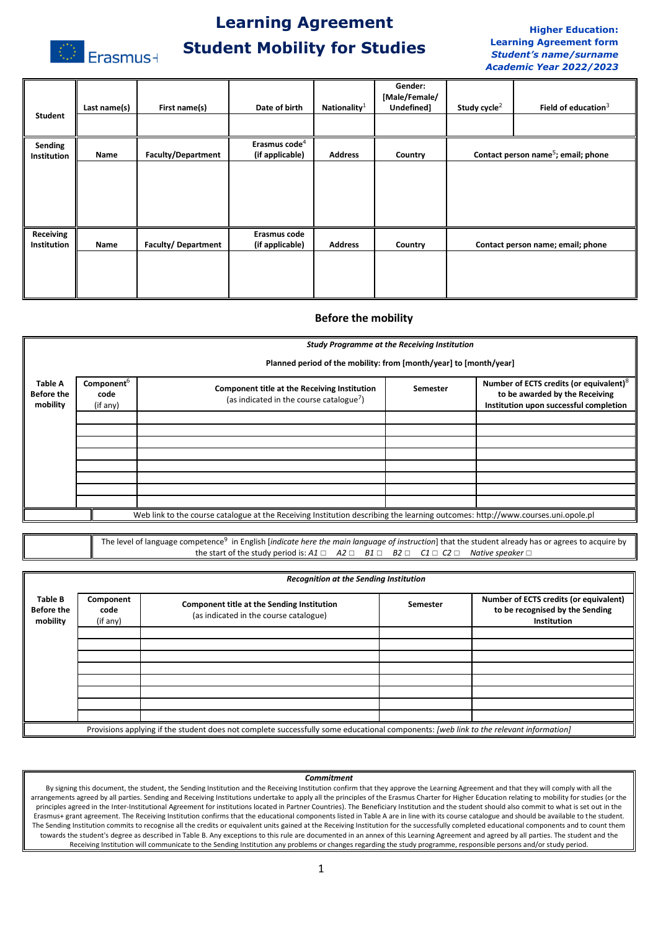

# **Learning Agreement Student Mobility for Studies**

### **Higher Education: Learning Agreement form** *Student's name/surname Academic Year 2022/2023*

| Student                         | Last name(s) | First name(s)             | Date of birth                                | Nationality $1$ | Gender:<br>[Male/Female/<br>Undefined] | Study cycle <sup>2</sup> | Field of education $3$                          |
|---------------------------------|--------------|---------------------------|----------------------------------------------|-----------------|----------------------------------------|--------------------------|-------------------------------------------------|
|                                 |              |                           |                                              |                 |                                        |                          |                                                 |
| Sending<br><b>Institution</b>   | Name         | <b>Faculty/Department</b> | Erasmus code <sup>4</sup><br>(if applicable) | <b>Address</b>  | Country                                |                          | Contact person name <sup>5</sup> ; email; phone |
|                                 |              |                           |                                              |                 |                                        |                          |                                                 |
|                                 |              |                           |                                              |                 |                                        |                          |                                                 |
|                                 |              |                           |                                              |                 |                                        |                          |                                                 |
| Receiving<br><b>Institution</b> | Name         | <b>Faculty/Department</b> | Erasmus code<br>(if applicable)              | <b>Address</b>  | Country                                |                          | Contact person name; email; phone               |
|                                 |              |                           |                                              |                 |                                        |                          |                                                 |
|                                 |              |                           |                                              |                 |                                        |                          |                                                 |

### **Before the mobility**

|                                                 | <b>Study Programme at the Receiving Institution</b>                                                                             |                                                                                                      |          |                                                                                                                                 |  |  |  |
|-------------------------------------------------|---------------------------------------------------------------------------------------------------------------------------------|------------------------------------------------------------------------------------------------------|----------|---------------------------------------------------------------------------------------------------------------------------------|--|--|--|
|                                                 | Planned period of the mobility: from [month/year] to [month/year]                                                               |                                                                                                      |          |                                                                                                                                 |  |  |  |
| <b>Table A</b><br><b>Before the</b><br>mobility | Component <sup>6</sup><br>code<br>(if any)                                                                                      | Component title at the Receiving Institution<br>(as indicated in the course catalogue <sup>7</sup> ) | Semester | Number of ECTS credits (or equivalent) <sup>8</sup><br>to be awarded by the Receiving<br>Institution upon successful completion |  |  |  |
|                                                 |                                                                                                                                 |                                                                                                      |          |                                                                                                                                 |  |  |  |
|                                                 |                                                                                                                                 |                                                                                                      |          |                                                                                                                                 |  |  |  |
|                                                 |                                                                                                                                 |                                                                                                      |          |                                                                                                                                 |  |  |  |
|                                                 |                                                                                                                                 |                                                                                                      |          |                                                                                                                                 |  |  |  |
|                                                 |                                                                                                                                 |                                                                                                      |          |                                                                                                                                 |  |  |  |
|                                                 |                                                                                                                                 |                                                                                                      |          |                                                                                                                                 |  |  |  |
|                                                 |                                                                                                                                 |                                                                                                      |          |                                                                                                                                 |  |  |  |
|                                                 |                                                                                                                                 |                                                                                                      |          |                                                                                                                                 |  |  |  |
|                                                 | Web link to the course catalogue at the Receiving Institution describing the learning outcomes: http://www.courses.uni.opole.pl |                                                                                                      |          |                                                                                                                                 |  |  |  |

The level of language competence<sup>9</sup> in English [*indicate here the main language of instruction*] that the student already has or agrees to acquire by the start of the study period is:  $A1$  □  $A2$  □  $B1$  □  $B2$  □  $C1$  □  $C2$  □ *Native speaker* □

|                                                 | <b>Recognition at the Sending Institution</b>                                                                                         |                                                                                      |          |                                                                                          |  |  |  |
|-------------------------------------------------|---------------------------------------------------------------------------------------------------------------------------------------|--------------------------------------------------------------------------------------|----------|------------------------------------------------------------------------------------------|--|--|--|
| <b>Table B</b><br><b>Before the</b><br>mobility | Component<br>code<br>(if any)                                                                                                         | Component title at the Sending Institution<br>(as indicated in the course catalogue) | Semester | Number of ECTS credits (or equivalent)<br>to be recognised by the Sending<br>Institution |  |  |  |
|                                                 |                                                                                                                                       |                                                                                      |          |                                                                                          |  |  |  |
|                                                 |                                                                                                                                       |                                                                                      |          |                                                                                          |  |  |  |
|                                                 |                                                                                                                                       |                                                                                      |          |                                                                                          |  |  |  |
|                                                 |                                                                                                                                       |                                                                                      |          |                                                                                          |  |  |  |
|                                                 |                                                                                                                                       |                                                                                      |          |                                                                                          |  |  |  |
|                                                 |                                                                                                                                       |                                                                                      |          |                                                                                          |  |  |  |
|                                                 |                                                                                                                                       |                                                                                      |          |                                                                                          |  |  |  |
|                                                 |                                                                                                                                       |                                                                                      |          |                                                                                          |  |  |  |
|                                                 | Provisions applying if the student does not complete successfully some educational components: [web link to the relevant information] |                                                                                      |          |                                                                                          |  |  |  |

#### *Commitment*

By signing this document, the student, the Sending Institution and the Receiving Institution confirm that they approve the Learning Agreement and that they will comply with all the arrangements agreed by all parties. Sending and Receiving Institutions undertake to apply all the principles of the Erasmus Charter for Higher Education relating to mobility for studies (or the principles agreed in the Inter-Institutional Agreement for institutions located in Partner Countries). The Beneficiary Institution and the student should also commit to what is set out in the Erasmus+ grant agreement. The Receiving Institution confirms that the educational components listed in Table A are in line with its course catalogue and should be available to the student. The Sending Institution commits to recognise all the credits or equivalent units gained at the Receiving Institution for the successfully completed educational components and to count them towards the student's degree as described in Table B. Any exceptions to this rule are documented in an annex of this Learning Agreement and agreed by all parties. The student and the Receiving Institution will communicate to the Sending Institution any problems or changes regarding the study programme, responsible persons and/or study period.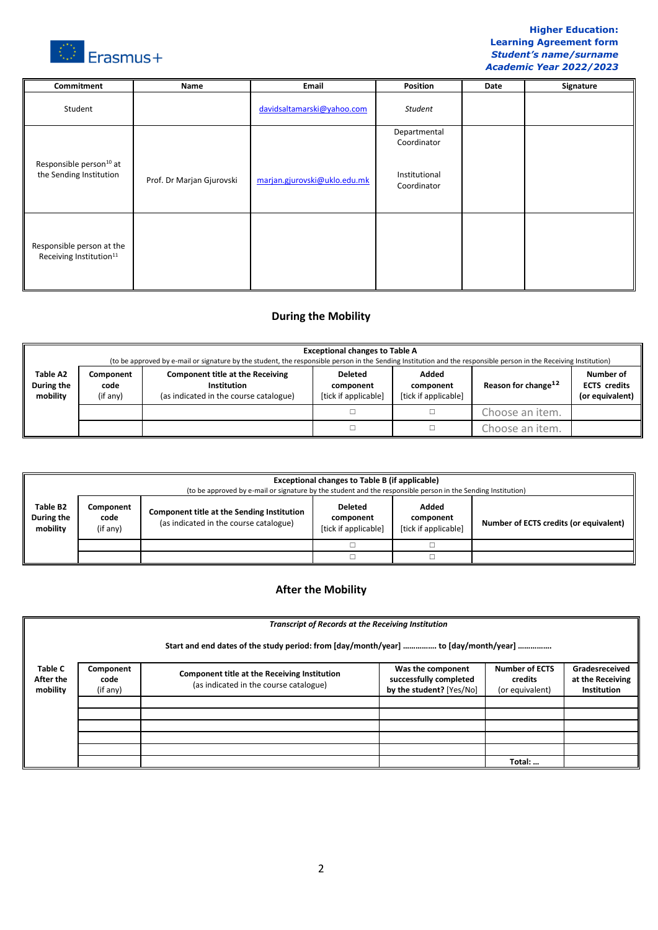

## **Higher Education: Learning Agreement form** *Student's name/surname Academic Year 2022/2023*

| Commitment                                                       | Name                      | Email                        | Position                     | Date | Signature |
|------------------------------------------------------------------|---------------------------|------------------------------|------------------------------|------|-----------|
| Student                                                          |                           | davidsaltamarski@yahoo.com   | Student                      |      |           |
|                                                                  |                           |                              | Departmental                 |      |           |
|                                                                  |                           |                              | Coordinator                  |      |           |
| Responsible person <sup>10</sup> at<br>the Sending Institution   | Prof. Dr Marjan Gjurovski | marjan.gjurovski@uklo.edu.mk | Institutional<br>Coordinator |      |           |
| Responsible person at the<br>Receiving Institution <sup>11</sup> |                           |                              |                              |      |           |

# **During the Mobility**

|                                    | <b>Exceptional changes to Table A</b><br>(to be approved by e-mail or signature by the student, the responsible person in the Sending Institution and the responsible person in the Receiving Institution) |                                                                                                  |                                                     |                                            |                                 |                                                     |  |
|------------------------------------|------------------------------------------------------------------------------------------------------------------------------------------------------------------------------------------------------------|--------------------------------------------------------------------------------------------------|-----------------------------------------------------|--------------------------------------------|---------------------------------|-----------------------------------------------------|--|
| Table A2<br>During the<br>mobility | Component<br>code<br>(if any)                                                                                                                                                                              | <b>Component title at the Receiving</b><br>Institution<br>(as indicated in the course catalogue) | <b>Deleted</b><br>component<br>[tick if applicable] | Added<br>component<br>[tick if applicable] | Reason for change <sup>12</sup> | Number of<br><b>ECTS</b> credits<br>(or equivalent) |  |
|                                    |                                                                                                                                                                                                            |                                                                                                  |                                                     |                                            | Choose an item.                 |                                                     |  |
|                                    |                                                                                                                                                                                                            |                                                                                                  |                                                     |                                            | Choose an item.                 |                                                     |  |

|                                    | <b>Exceptional changes to Table B (if applicable)</b><br>(to be approved by e-mail or signature by the student and the responsible person in the Sending Institution) |                                                                                             |                                                     |                                            |                                        |  |
|------------------------------------|-----------------------------------------------------------------------------------------------------------------------------------------------------------------------|---------------------------------------------------------------------------------------------|-----------------------------------------------------|--------------------------------------------|----------------------------------------|--|
| Table B2<br>During the<br>mobility | Component<br>code<br>(if any)                                                                                                                                         | <b>Component title at the Sending Institution</b><br>(as indicated in the course catalogue) | <b>Deleted</b><br>component<br>[tick if applicable] | Added<br>component<br>[tick if applicable] | Number of ECTS credits (or equivalent) |  |
|                                    |                                                                                                                                                                       |                                                                                             |                                                     |                                            |                                        |  |
|                                    |                                                                                                                                                                       |                                                                                             |                                                     |                                            |                                        |  |

# **After the Mobility**

|                                         | <b>Transcript of Records at the Receiving Institution</b>                           |                                                                                        |                                                                         |                                                     |                                                          |  |  |  |
|-----------------------------------------|-------------------------------------------------------------------------------------|----------------------------------------------------------------------------------------|-------------------------------------------------------------------------|-----------------------------------------------------|----------------------------------------------------------|--|--|--|
|                                         | Start and end dates of the study period: from [day/month/year]  to [day/month/year] |                                                                                        |                                                                         |                                                     |                                                          |  |  |  |
| <b>Table C</b><br>After the<br>mobility | Component<br>code<br>(if any)                                                       | Component title at the Receiving Institution<br>(as indicated in the course catalogue) | Was the component<br>successfully completed<br>by the student? [Yes/No] | <b>Number of ECTS</b><br>credits<br>(or equivalent) | Gradesreceived<br>at the Receiving<br><b>Institution</b> |  |  |  |
|                                         |                                                                                     |                                                                                        |                                                                         |                                                     |                                                          |  |  |  |
|                                         |                                                                                     |                                                                                        |                                                                         |                                                     |                                                          |  |  |  |
|                                         |                                                                                     |                                                                                        |                                                                         |                                                     |                                                          |  |  |  |
|                                         |                                                                                     |                                                                                        |                                                                         | Total:                                              |                                                          |  |  |  |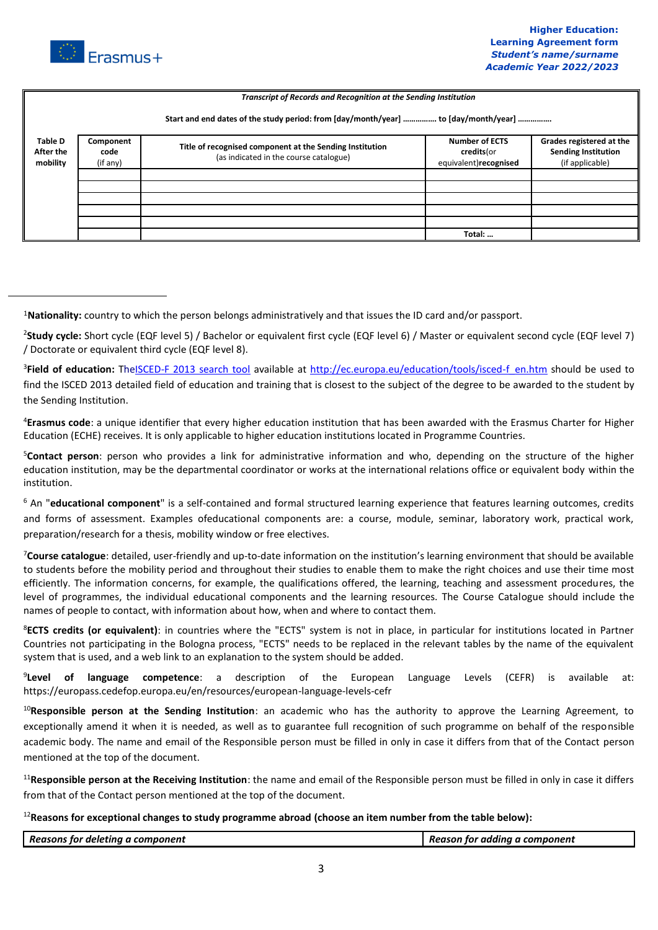

 $\overline{a}$ 

|                                                                                     | Transcript of Records and Recognition at the Sending Institution |                                                                                                    |                                                              |                                                                           |  |  |  |
|-------------------------------------------------------------------------------------|------------------------------------------------------------------|----------------------------------------------------------------------------------------------------|--------------------------------------------------------------|---------------------------------------------------------------------------|--|--|--|
| Start and end dates of the study period: from [day/month/year]  to [day/month/year] |                                                                  |                                                                                                    |                                                              |                                                                           |  |  |  |
| <b>Table D</b><br>After the<br>mobility                                             | Component<br>code<br>(if any)                                    | Title of recognised component at the Sending Institution<br>(as indicated in the course catalogue) | <b>Number of ECTS</b><br>credits(or<br>equivalent)recognised | Grades registered at the<br><b>Sending Institution</b><br>(if applicable) |  |  |  |
|                                                                                     |                                                                  |                                                                                                    |                                                              |                                                                           |  |  |  |
|                                                                                     |                                                                  |                                                                                                    |                                                              |                                                                           |  |  |  |
|                                                                                     |                                                                  |                                                                                                    |                                                              |                                                                           |  |  |  |
|                                                                                     |                                                                  |                                                                                                    |                                                              |                                                                           |  |  |  |
|                                                                                     |                                                                  |                                                                                                    |                                                              |                                                                           |  |  |  |
|                                                                                     |                                                                  |                                                                                                    | Total:                                                       |                                                                           |  |  |  |

<sup>1</sup>**Nationality:** country to which the person belongs administratively and that issues the ID card and/or passport.

<sup>2</sup>Study cycle: Short cycle (EQF level 5) / Bachelor or equivalent first cycle (EQF level 6) / Master or equivalent second cycle (EQF level 7) / Doctorate or equivalent third cycle (EQF level 8).

<sup>3</sup>Field of education: The<u>ISCED-F 2013 search tool</u> available at [http://ec.europa.eu/education/tools/isced-f\\_en.htm](http://ec.europa.eu/education/tools/isced-f_en.htm) should be used to find the ISCED 2013 detailed field of education and training that is closest to the subject of the degree to be awarded to the student by the Sending Institution.

<sup>4</sup>**Erasmus code**: a unique identifier that every higher education institution that has been awarded with the Erasmus Charter for Higher Education (ECHE) receives. It is only applicable to higher education institutions located in Programme Countries.

<sup>5</sup>**Contact person**: person who provides a link for administrative information and who, depending on the structure of the higher education institution, may be the departmental coordinator or works at the international relations office or equivalent body within the institution.

<sup>6</sup> An "**educational component**" is a self-contained and formal structured learning experience that features learning outcomes, credits and forms of assessment. Examples ofeducational components are: a course, module, seminar, laboratory work, practical work, preparation/research for a thesis, mobility window or free electives.

<sup>7</sup>**Course catalogue**: detailed, user-friendly and up-to-date information on the institution's learning environment that should be available to students before the mobility period and throughout their studies to enable them to make the right choices and use their time most efficiently. The information concerns, for example, the qualifications offered, the learning, teaching and assessment procedures, the level of programmes, the individual educational components and the learning resources. The Course Catalogue should include the names of people to contact, with information about how, when and where to contact them.

<sup>8</sup>**ECTS credits (or equivalent)**: in countries where the "ECTS" system is not in place, in particular for institutions located in Partner Countries not participating in the Bologna process, "ECTS" needs to be replaced in the relevant tables by the name of the equivalent system that is used, and a web link to an explanation to the system should be added.

9 **Level of language competence**: a description of the European Language Levels (CEFR) is available at: https://europass.cedefop.europa.eu/en/resources/european-language-levels-cefr

<sup>10</sup>**Responsible person at the Sending Institution**: an academic who has the authority to approve the Learning Agreement, to exceptionally amend it when it is needed, as well as to guarantee full recognition of such programme on behalf of the responsible academic body. The name and email of the Responsible person must be filled in only in case it differs from that of the Contact person mentioned at the top of the document.

<sup>11</sup>**Responsible person at the Receiving Institution**: the name and email of the Responsible person must be filled in only in case it differs from that of the Contact person mentioned at the top of the document.

<sup>12</sup>**Reasons for exceptional changes to study programme abroad (choose an item number from the table below):**

| Reason:<br>-----------<br><i>TOI</i><br>componen <u>-</u><br><b>APIP</b><br>mrs<br>тіпі. | ----<br>componer <sup>-</sup><br>TOT<br>,,,,,,,,,,<br>sur<br>neu |
|------------------------------------------------------------------------------------------|------------------------------------------------------------------|
|                                                                                          |                                                                  |